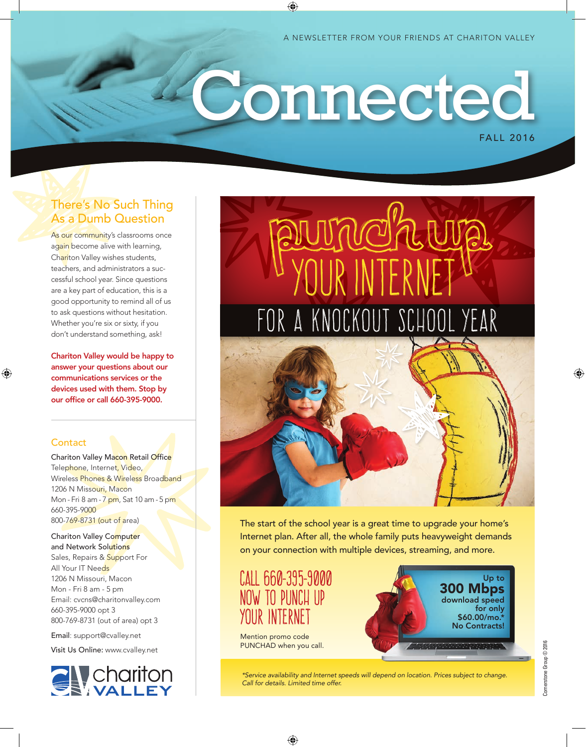A NEWSLETTER FROM YOUR FRIENDS AT CHARITON VALLEY

# FALL 2016 **Connected**

⊕

### There's No Such Thing As a Dumb Question

As our community's classrooms once again become alive with learning, Chariton Valley wishes students, teachers, and administrators a successful school year. Since questions are a key part of education, this is a good opportunity to remind all of us to ask questions without hesitation. Whether you're six or sixty, if you don't understand something, ask!

Chariton Valley would be happy to answer your questions about our communications services or the devices used with them. Stop by our office or call 660-395-9000.

### **Contact**

⊕

Chariton Valley Macon Retail Office Telephone, Internet, Video, Wireless Phones & Wireless Broadband 1206 N Missouri, Macon Mon - Fri 8 am - 7 pm, Sat 10 am - 5 pm 660-395-9000 800-769-8731 (out of area)

Chariton Valley Computer and Network Solutions Sales, Repairs & Support For All Your IT Needs 1206 N Missouri, Macon Mon - Fri 8 am - 5 pm Email: cvcns@charitonvalley.com 660-395-9000 opt 3 800-769-8731 (out of area) opt 3

Email: support@cvalley.net

Visit Us Online: www.cvalley.net





The start of the school year is a great time to upgrade your home's Internet plan. After all, the whole family puts heavyweight demands on your connection with multiple devices, streaming, and more.

## CALL 660-395-9000 NOW TO PUNCH UP YOUR INTERNE

Mention promo code PUNCHAD when you call.



 $\mathbb C$ ornerstone Group  $\odot$  2016 Cornerstone Group © 2016 ♠

*\*Service availability and Internet speeds will depend on location. Prices subject to change. Call for details. Limited time offer.*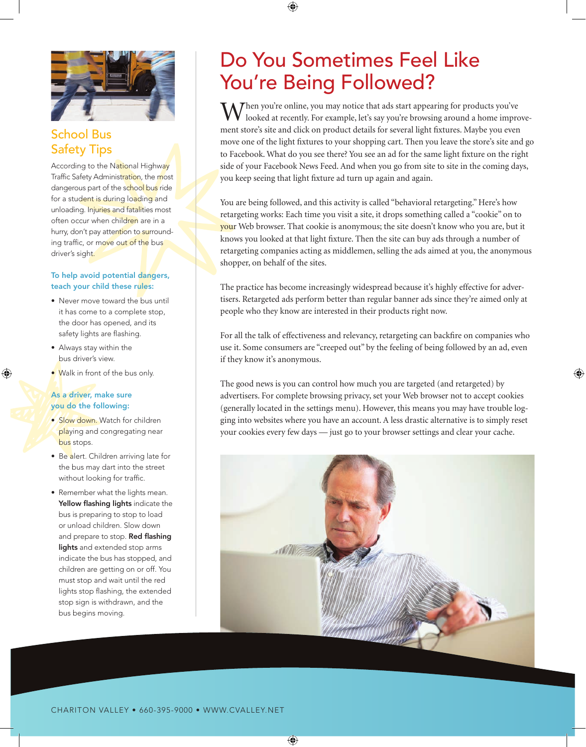

### School Bus Safety Tips

According to the National Highway Traffic Safety Administration, the most dangerous part of the school bus ride for a student is during loading and unloading. Injuries and fatalities most often occur when children are in a hurry, don't pay attention to surrounding traffic, or move out of the bus driver's sight.

### To help avoid potential dangers, teach your child these rules:

- Never move toward the bus until it has come to a complete stop, the door has opened, and its safety lights are flashing.
- Always stay within the bus driver's view.

⊕

• Walk in front of the bus only.

#### As a driver, make sure you do the following:

- Slow down. Watch for children playing and congregating near bus stops.
- Be alert. Children arriving late for the bus may dart into the street without looking for traffic.
- Remember what the lights mean. Yellow flashing lights indicate the bus is preparing to stop to load or unload children. Slow down and prepare to stop. Red flashing lights and extended stop arms indicate the bus has stopped, and children are getting on or off. You must stop and wait until the red lights stop flashing, the extended stop sign is withdrawn, and the bus begins moving.

# Do You Sometimes Feel Like You're Being Followed?

⊕

 $M^{\text{then you're online, you may notice that ads start appearing for products you've}$ looked at recently. For example, let's say you're browsing around a home improvement store's site and click on product details for several light fixtures. Maybe you even move one of the light fixtures to your shopping cart. Then you leave the store's site and go to Facebook. What do you see there? You see an ad for the same light fixture on the right side of your Facebook News Feed. And when you go from site to site in the coming days, you keep seeing that light fixture ad turn up again and again.

You are being followed, and this activity is called "behavioral retargeting." Here's how retargeting works: Each time you visit a site, it drops something called a "cookie" on to your Web browser. That cookie is anonymous; the site doesn't know who you are, but it knows you looked at that light fixture. Then the site can buy ads through a number of retargeting companies acting as middlemen, selling the ads aimed at you, the anonymous shopper, on behalf of the sites.

The practice has become increasingly widespread because it's highly effective for advertisers. Retargeted ads perform better than regular banner ads since they're aimed only at people who they know are interested in their products right now.

For all the talk of effectiveness and relevancy, retargeting can backfire on companies who use it. Some consumers are "creeped out" by the feeling of being followed by an ad, even if they know it's anonymous.

⊕

The good news is you can control how much you are targeted (and retargeted) by advertisers. For complete browsing privacy, set your Web browser not to accept cookies (generally located in the settings menu). However, this means you may have trouble logging into websites where you have an account. A less drastic alternative is to simply reset your cookies every few days — just go to your browser settings and clear your cache.



⊕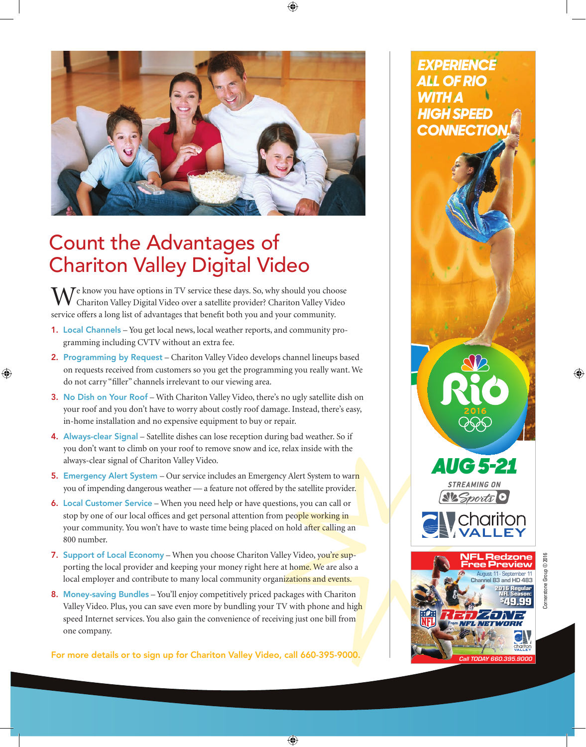

⊕

# Count the Advantages of Chariton Valley Digital Video

⊕

 $M^e$  know you have options in TV service these days. So, why should you choose Chariton Valley Digital Video over a satellite provider? Chariton Valley Video service offers a long list of advantages that benefit both you and your community.

- 1. Local Channels You get local news, local weather reports, and community programming including CVTV without an extra fee.
- 2. Programming by Request Chariton Valley Video develops channel lineups based on requests received from customers so you get the programming you really want. We do not carry "filler" channels irrelevant to our viewing area.
- 3. No Dish on Your Roof With Chariton Valley Video, there's no ugly satellite dish on your roof and you don't have to worry about costly roof damage. Instead, there's easy, in-home installation and no expensive equipment to buy or repair.
- 4. Always-clear Signal Satellite dishes can lose reception during bad weather. So if you don't want to climb on your roof to remove snow and ice, relax inside with the always-clear signal of Chariton Valley Video.
- 5. Emergency Alert System Our service includes an Emergency Alert System to warn you of impending dangerous weather — a feature not offered by the satellite provider.
- 6. Local Customer Service When you need help or have questions, you can call or stop by one of our local offices and get personal attention from people working in your community. You won't have to waste time being placed on hold after calling an 800 number.
- 7. Support of Local Economy When you choose Chariton Valley Video, you're supporting the local provider and keeping your money right here at home. We are also a local employer and contribute to many local community organizations and events.
- 8. Money-saving Bundles You'll enjoy competitively priced packages with Chariton Valley Video. Plus, you can save even more by bundling your TV with phone and high speed Internet services. You also gain the convenience of receiving just one bill from one company.

For more details or to sign up for Chariton Valley Video, call 660-395-9000.

 $\bigoplus$ 

*EXPERIENCE ALL OF RIO WITH A HIGH SPEED*  **ONNECTIC** 

*AUG 5 -21*

**Ste Sports** 0

*Call TODAY 660.395.9000*

フアオフトリー **IFL NETWORK**  ⊕

**83 and HD 483** August 11 - September 11

> 2016 Regular NFL Season:<br>\$49 99  $49.99$

Free Preview